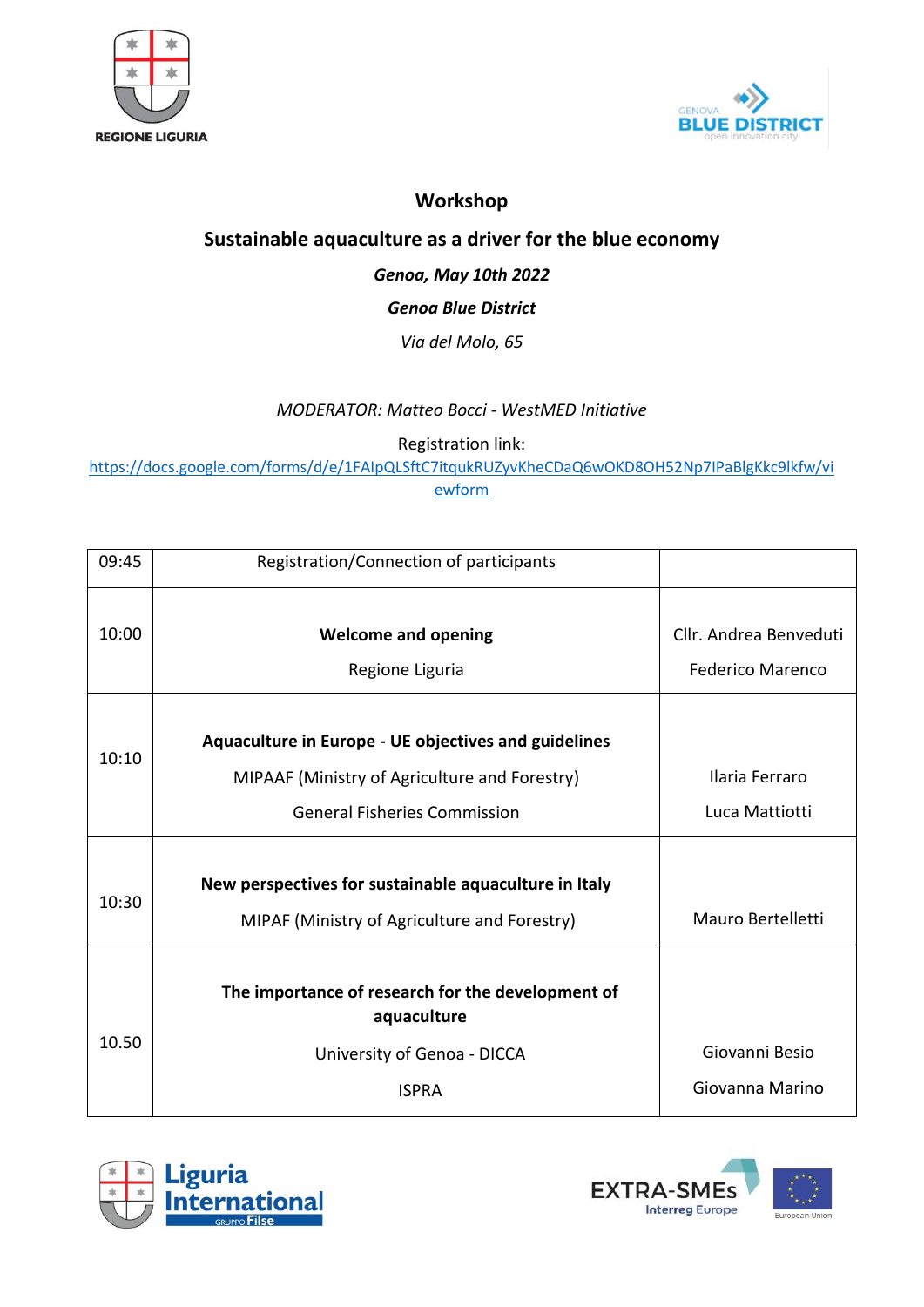



# **Workshop**

# **Sustainable aquaculture as a driver for the blue economy**

## *Genoa, May 10th 2022*

### *Genoa Blue District*

#### *Via del Molo, 65*

#### *MODERATOR: Matteo Bocci - WestMED Initiative*

Registration link:

[https://docs.google.com/forms/d/e/1FAIpQLSftC7itqukRUZyvKheCDaQ6wOKD8OH52Np7IPaBlgKkc9lkfw/vi](https://docs.google.com/forms/d/e/1FAIpQLSftC7itqukRUZyvKheCDaQ6wOKD8OH52Np7IPaBlgKkc9lkfw/viewform) [ewform](https://docs.google.com/forms/d/e/1FAIpQLSftC7itqukRUZyvKheCDaQ6wOKD8OH52Np7IPaBlgKkc9lkfw/viewform)

| 09:45 | Registration/Connection of participants                                                                                                             |                                                   |
|-------|-----------------------------------------------------------------------------------------------------------------------------------------------------|---------------------------------------------------|
| 10:00 | <b>Welcome and opening</b><br>Regione Liguria                                                                                                       | Cllr. Andrea Benveduti<br><b>Federico Marenco</b> |
| 10:10 | <b>Aquaculture in Europe - UE objectives and guidelines</b><br>MIPAAF (Ministry of Agriculture and Forestry)<br><b>General Fisheries Commission</b> | Ilaria Ferraro<br>Luca Mattiotti                  |
| 10:30 | New perspectives for sustainable aquaculture in Italy<br>MIPAF (Ministry of Agriculture and Forestry)                                               | Mauro Bertelletti                                 |
| 10.50 | The importance of research for the development of<br>aquaculture<br>University of Genoa - DICCA<br><b>ISPRA</b>                                     | Giovanni Besio<br>Giovanna Marino                 |



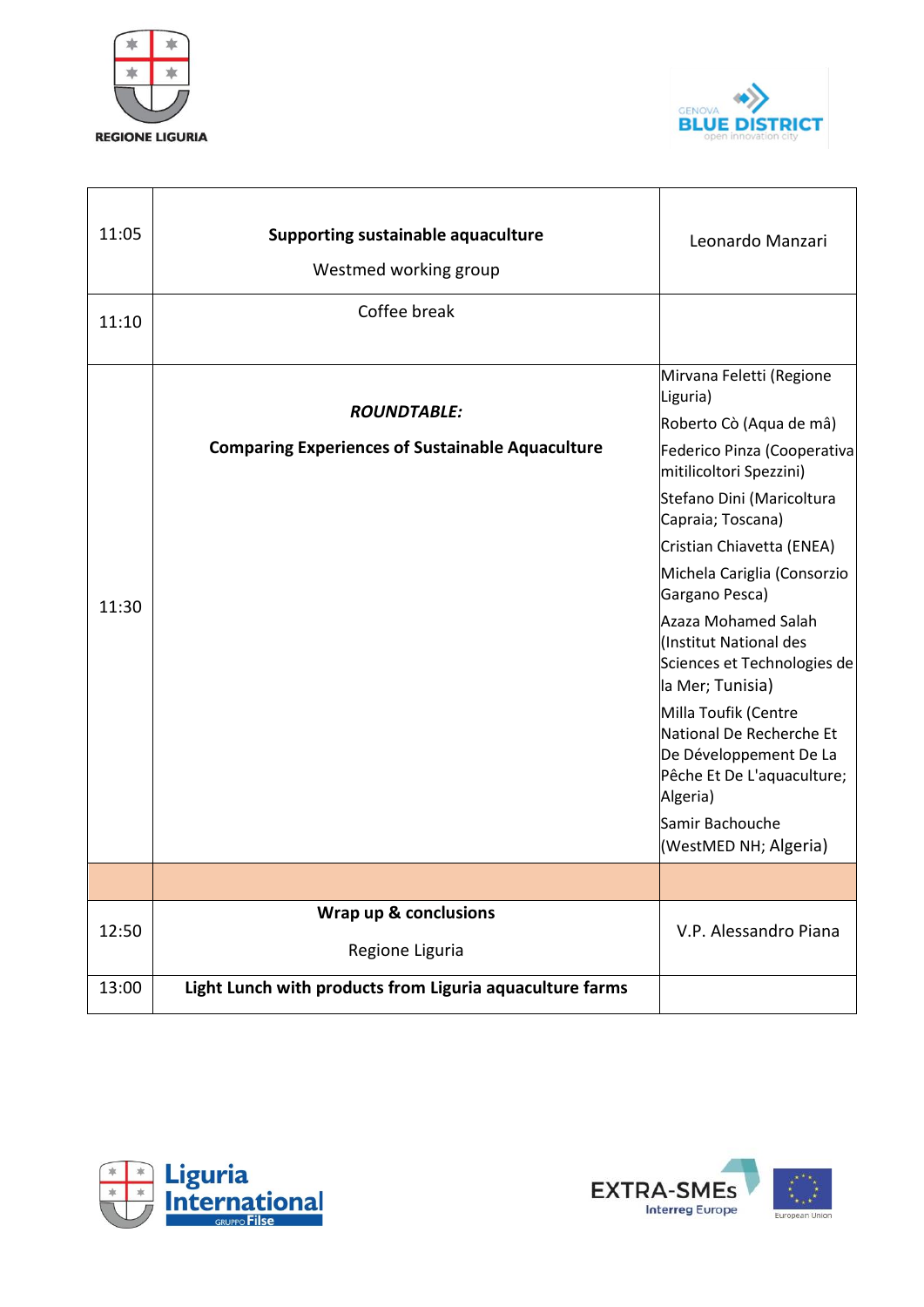



| 11:05 | Supporting sustainable aquaculture<br>Westmed working group                   | Leonardo Manzari                                                                                                                                                                                                                                                                                                                                                                                                                                                                                                                  |
|-------|-------------------------------------------------------------------------------|-----------------------------------------------------------------------------------------------------------------------------------------------------------------------------------------------------------------------------------------------------------------------------------------------------------------------------------------------------------------------------------------------------------------------------------------------------------------------------------------------------------------------------------|
| 11:10 | Coffee break                                                                  |                                                                                                                                                                                                                                                                                                                                                                                                                                                                                                                                   |
| 11:30 | <b>ROUNDTABLE:</b><br><b>Comparing Experiences of Sustainable Aquaculture</b> | Mirvana Feletti (Regione<br>Liguria)<br>Roberto Cò (Aqua de mâ)<br>Federico Pinza (Cooperativa<br>mitilicoltori Spezzini)<br>Stefano Dini (Maricoltura<br>Capraia; Toscana)<br>Cristian Chiavetta (ENEA)<br>Michela Cariglia (Consorzio<br>Gargano Pesca)<br>Azaza Mohamed Salah<br>(Institut National des<br>Sciences et Technologies de<br>la Mer; Tunisia)<br>Milla Toufik (Centre<br>National De Recherche Et<br>De Développement De La<br>Pêche Et De L'aquaculture;<br>Algeria)<br>Samir Bachouche<br>(WestMED NH; Algeria) |
|       |                                                                               |                                                                                                                                                                                                                                                                                                                                                                                                                                                                                                                                   |
| 12:50 | Wrap up & conclusions<br>Regione Liguria                                      | V.P. Alessandro Piana                                                                                                                                                                                                                                                                                                                                                                                                                                                                                                             |
| 13:00 | Light Lunch with products from Liguria aquaculture farms                      |                                                                                                                                                                                                                                                                                                                                                                                                                                                                                                                                   |